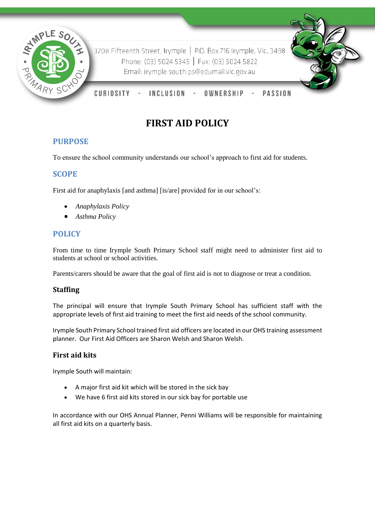

3208 Fifteenth Street, Irymple | P.O. Box 716 Irymple, Vic, 3498 Phone: (03) 5024 5345 | Fax: (03) 5024 5822 Email: irymple.south.ps@edumail.vic.gov.au

CURIOSITY **INCLUSION** OWNERSHIP **PASSION** 

# **FIRST AID POLICY**

# **PURPOSE**

To ensure the school community understands our school's approach to first aid for students.

# **SCOPE**

First aid for anaphylaxis [and asthma] [is/are] provided for in our school's:

- *Anaphylaxis Policy*
- *Asthma Policy*

# **POLICY**

From time to time Irymple South Primary School staff might need to administer first aid to students at school or school activities.

Parents/carers should be aware that the goal of first aid is not to diagnose or treat a condition.

#### **Staffing**

The principal will ensure that Irymple South Primary School has sufficient staff with the appropriate levels of first aid training to meet the first aid needs of the school community.

Irymple South Primary School trained first aid officers are located in our OHS training assessment planner. Our First Aid Officers are Sharon Welsh and Sharon Welsh.

#### **First aid kits**

Irymple South will maintain:

- A major first aid kit which will be stored in the sick bay
- We have 6 first aid kits stored in our sick bay for portable use

In accordance with our OHS Annual Planner, Penni Williams will be responsible for maintaining all first aid kits on a quarterly basis.